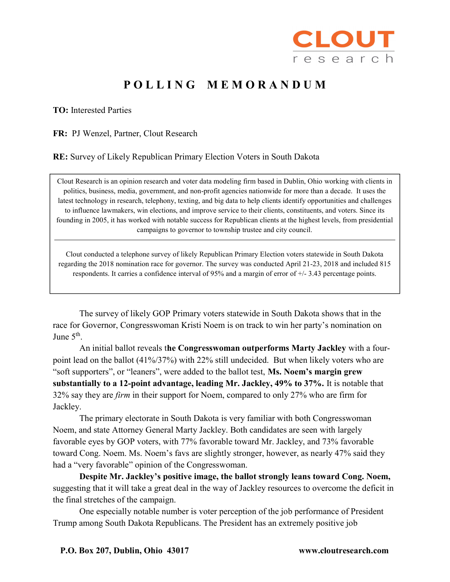

## POLLING MEMORANDUM

TO: Interested Parties

FR: PJ Wenzel, Partner, Clout Research

RE: Survey of Likely Republican Primary Election Voters in South Dakota

Clout Research is an opinion research and voter data modeling firm based in Dublin, Ohio working with clients in politics, business, media, government, and non-profit agencies nationwide for more than a decade. It uses the latest technology in research, telephony, texting, and big data to help clients identify opportunities and challenges to influence lawmakers, win elections, and improve service to their clients, constituents, and voters. Since its founding in 2005, it has worked with notable success for Republican clients at the highest levels, from presidential campaigns to governor to township trustee and city council.

Clout conducted a telephone survey of likely Republican Primary Election voters statewide in South Dakota regarding the 2018 nomination race for governor. The survey was conducted April 21-23, 2018 and included 815 respondents. It carries a confidence interval of 95% and a margin of error of +/- 3.43 percentage points.

 The survey of likely GOP Primary voters statewide in South Dakota shows that in the race for Governor, Congresswoman Kristi Noem is on track to win her party's nomination on June  $5<sup>th</sup>$ .

 An initial ballot reveals the Congresswoman outperforms Marty Jackley with a fourpoint lead on the ballot (41%/37%) with 22% still undecided. But when likely voters who are "soft supporters", or "leaners", were added to the ballot test, Ms. Noem's margin grew substantially to a 12-point advantage, leading Mr. Jackley, 49% to 37%. It is notable that 32% say they are firm in their support for Noem, compared to only 27% who are firm for Jackley.

 The primary electorate in South Dakota is very familiar with both Congresswoman Noem, and state Attorney General Marty Jackley. Both candidates are seen with largely favorable eyes by GOP voters, with 77% favorable toward Mr. Jackley, and 73% favorable toward Cong. Noem. Ms. Noem's favs are slightly stronger, however, as nearly 47% said they had a "very favorable" opinion of the Congresswoman.

Despite Mr. Jackley's positive image, the ballot strongly leans toward Cong. Noem, suggesting that it will take a great deal in the way of Jackley resources to overcome the deficit in the final stretches of the campaign.

 One especially notable number is voter perception of the job performance of President Trump among South Dakota Republicans. The President has an extremely positive job